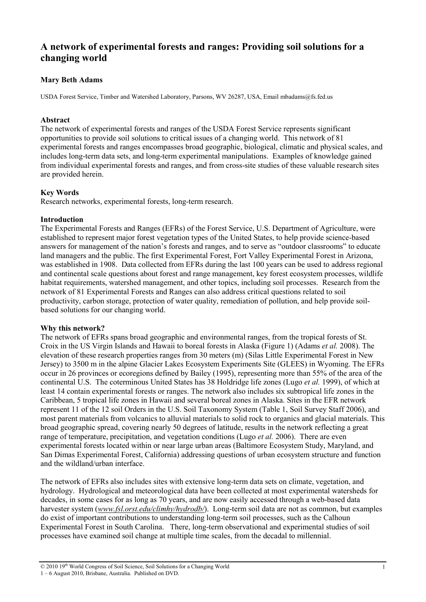# **A network of experimental forests and ranges: Providing soil solutions for a changing world**

## **Mary Beth Adams**

USDA Forest Service, Timber and Watershed Laboratory, Parsons, WV 26287, USA, Email mbadams@fs.fed.us

### **Abstract**

The network of experimental forests and ranges of the USDA Forest Service represents significant opportunities to provide soil solutions to critical issues of a changing world. This network of 81 experimental forests and ranges encompasses broad geographic, biological, climatic and physical scales, and includes long-term data sets, and long-term experimental manipulations. Examples of knowledge gained from individual experimental forests and ranges, and from cross-site studies of these valuable research sites are provided herein.

### **Key Words**

Research networks, experimental forests, long-term research.

#### **Introduction**

The Experimental Forests and Ranges (EFRs) of the Forest Service, U.S. Department of Agriculture, were established to represent major forest vegetation types of the United States, to help provide science-based answers for management of the nation's forests and ranges, and to serve as "outdoor classrooms" to educate land managers and the public. The first Experimental Forest, Fort Valley Experimental Forest in Arizona, was established in 1908. Data collected from EFRs during the last 100 years can be used to address regional and continental scale questions about forest and range management, key forest ecosystem processes, wildlife habitat requirements, watershed management, and other topics, including soil processes. Research from the network of 81 Experimental Forests and Ranges can also address critical questions related to soil productivity, carbon storage, protection of water quality, remediation of pollution, and help provide soilbased solutions for our changing world.

#### **Why this network?**

The network of EFRs spans broad geographic and environmental ranges, from the tropical forests of St. Croix in the US Virgin Islands and Hawaii to boreal forests in Alaska (Figure 1) (Adams *et al.* 2008). The elevation of these research properties ranges from 30 meters (m) (Silas Little Experimental Forest in New Jersey) to 3500 m in the alpine Glacier Lakes Ecosystem Experiments Site (GLEES) in Wyoming. The EFRs occur in 26 provinces or ecoregions defined by Bailey (1995), representing more than 55% of the area of the continental U.S. The coterminous United States has 38 Holdridge life zones (Lugo *et al.* 1999), of which at least 14 contain experimental forests or ranges. The network also includes six subtropical life zones in the Caribbean, 5 tropical life zones in Hawaii and several boreal zones in Alaska. Sites in the EFR network represent 11 of the 12 soil Orders in the U.S. Soil Taxonomy System (Table 1, Soil Survey Staff 2006), and most parent materials from volcanics to alluvial materials to solid rock to organics and glacial materials. This broad geographic spread, covering nearly 50 degrees of latitude, results in the network reflecting a great range of temperature, precipitation, and vegetation conditions (Lugo *et al.* 2006). There are even experimental forests located within or near large urban areas (Baltimore Ecosystem Study, Maryland, and San Dimas Experimental Forest, California) addressing questions of urban ecosystem structure and function and the wildland/urban interface.

The network of EFRs also includes sites with extensive long-term data sets on climate, vegetation, and hydrology. Hydrological and meteorological data have been collected at most experimental watersheds for decades, in some cases for as long as 70 years, and are now easily accessed through a web-based data harvester system (*www.fsl.orst.edu/climhy/hydrodb/*). Long-term soil data are not as common, but examples do exist of important contributions to understanding long-term soil processes, such as the Calhoun Experimental Forest in South Carolina. There, long-term observational and experimental studies of soil processes have examined soil change at multiple time scales, from the decadal to millennial.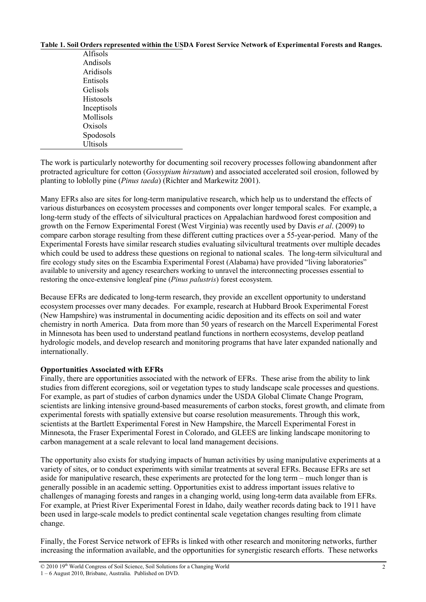#### **Table 1. Soil Orders represented within the USDA Forest Service Network of Experimental Forests and Ranges.**

| Alfisols         |
|------------------|
| Andisols         |
| Aridisols        |
| Entisols         |
| Gelisols         |
| <b>Histosols</b> |
| Inceptisols      |
| Mollisols        |
| Oxisols          |
| Spodosols        |
| <b>Ultisols</b>  |

The work is particularly noteworthy for documenting soil recovery processes following abandonment after protracted agriculture for cotton (*Gossypium hirsutum*) and associated accelerated soil erosion, followed by planting to loblolly pine (*Pinus taeda*) (Richter and Markewitz 2001).

Many EFRs also are sites for long-term manipulative research, which help us to understand the effects of various disturbances on ecosystem processes and components over longer temporal scales. For example, a long-term study of the effects of silvicultural practices on Appalachian hardwood forest composition and growth on the Fernow Experimental Forest (West Virginia) was recently used by Davis *et al*. (2009) to compare carbon storage resulting from these different cutting practices over a 55-year-period. Many of the Experimental Forests have similar research studies evaluating silvicultural treatments over multiple decades which could be used to address these questions on regional to national scales. The long-term silvicultural and fire ecology study sites on the Escambia Experimental Forest (Alabama) have provided "living laboratories" available to university and agency researchers working to unravel the interconnecting processes essential to restoring the once-extensive longleaf pine (*Pinus palustris*) forest ecosystem.

Because EFRs are dedicated to long-term research, they provide an excellent opportunity to understand ecosystem processes over many decades. For example, research at Hubbard Brook Experimental Forest (New Hampshire) was instrumental in documenting acidic deposition and its effects on soil and water chemistry in north America. Data from more than 50 years of research on the Marcell Experimental Forest in Minnesota has been used to understand peatland functions in northern ecosystems, develop peatland hydrologic models, and develop research and monitoring programs that have later expanded nationally and internationally.

#### **Opportunities Associated with EFRs**

Finally, there are opportunities associated with the network of EFRs. These arise from the ability to link studies from different ecoregions, soil or vegetation types to study landscape scale processes and questions. For example, as part of studies of carbon dynamics under the USDA Global Climate Change Program, scientists are linking intensive ground-based measurements of carbon stocks, forest growth, and climate from experimental forests with spatially extensive but coarse resolution measurements. Through this work, scientists at the Bartlett Experimental Forest in New Hampshire, the Marcell Experimental Forest in Minnesota, the Fraser Experimental Forest in Colorado, and GLEES are linking landscape monitoring to carbon management at a scale relevant to local land management decisions.

The opportunity also exists for studying impacts of human activities by using manipulative experiments at a variety of sites, or to conduct experiments with similar treatments at several EFRs. Because EFRs are set aside for manipulative research, these experiments are protected for the long term – much longer than is generally possible in an academic setting. Opportunities exist to address important issues relative to challenges of managing forests and ranges in a changing world, using long-term data available from EFRs. For example, at Priest River Experimental Forest in Idaho, daily weather records dating back to 1911 have been used in large-scale models to predict continental scale vegetation changes resulting from climate change.

Finally, the Forest Service network of EFRs is linked with other research and monitoring networks, further increasing the information available, and the opportunities for synergistic research efforts. These networks